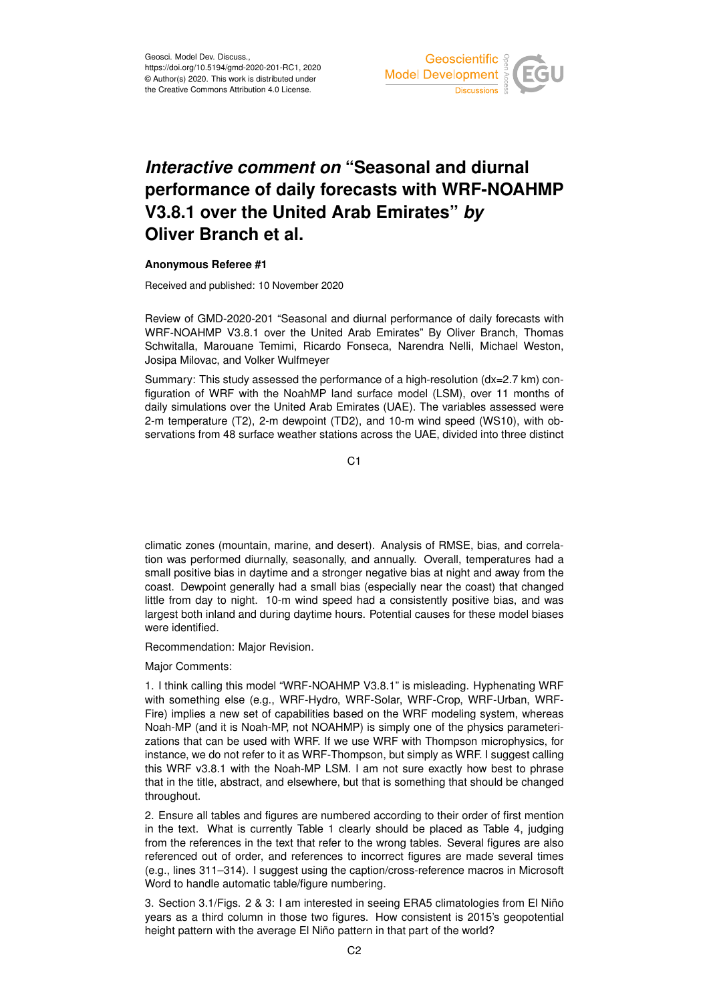

## *Interactive comment on* **"Seasonal and diurnal performance of daily forecasts with WRF-NOAHMP V3.8.1 over the United Arab Emirates"** *by* **Oliver Branch et al.**

## **Anonymous Referee #1**

Received and published: 10 November 2020

Review of GMD-2020-201 "Seasonal and diurnal performance of daily forecasts with WRF-NOAHMP V3.8.1 over the United Arab Emirates" By Oliver Branch, Thomas Schwitalla, Marouane Temimi, Ricardo Fonseca, Narendra Nelli, Michael Weston, Josipa Milovac, and Volker Wulfmeyer

Summary: This study assessed the performance of a high-resolution (dx=2.7 km) configuration of WRF with the NoahMP land surface model (LSM), over 11 months of daily simulations over the United Arab Emirates (UAE). The variables assessed were 2-m temperature (T2), 2-m dewpoint (TD2), and 10-m wind speed (WS10), with observations from 48 surface weather stations across the UAE, divided into three distinct

 $C<sub>1</sub>$ 

climatic zones (mountain, marine, and desert). Analysis of RMSE, bias, and correlation was performed diurnally, seasonally, and annually. Overall, temperatures had a small positive bias in daytime and a stronger negative bias at night and away from the coast. Dewpoint generally had a small bias (especially near the coast) that changed little from day to night. 10-m wind speed had a consistently positive bias, and was largest both inland and during daytime hours. Potential causes for these model biases were identified.

Recommendation: Major Revision.

Major Comments:

1. I think calling this model "WRF-NOAHMP V3.8.1" is misleading. Hyphenating WRF with something else (e.g., WRF-Hydro, WRF-Solar, WRF-Crop, WRF-Urban, WRF-Fire) implies a new set of capabilities based on the WRF modeling system, whereas Noah-MP (and it is Noah-MP, not NOAHMP) is simply one of the physics parameterizations that can be used with WRF. If we use WRF with Thompson microphysics, for instance, we do not refer to it as WRF-Thompson, but simply as WRF. I suggest calling this WRF v3.8.1 with the Noah-MP LSM. I am not sure exactly how best to phrase that in the title, abstract, and elsewhere, but that is something that should be changed throughout.

2. Ensure all tables and figures are numbered according to their order of first mention in the text. What is currently Table 1 clearly should be placed as Table 4, judging from the references in the text that refer to the wrong tables. Several figures are also referenced out of order, and references to incorrect figures are made several times (e.g., lines 311–314). I suggest using the caption/cross-reference macros in Microsoft Word to handle automatic table/figure numbering.

3. Section 3.1/Figs. 2 & 3: I am interested in seeing ERA5 climatologies from El Niño years as a third column in those two figures. How consistent is 2015's geopotential height pattern with the average El Niño pattern in that part of the world?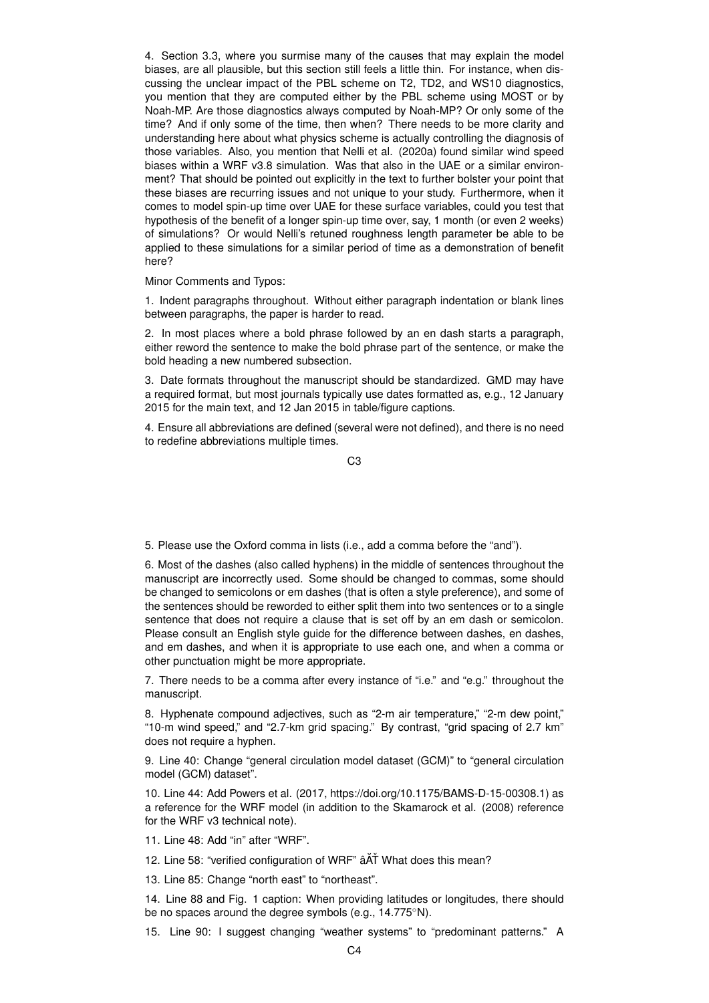4. Section 3.3, where you surmise many of the causes that may explain the model biases, are all plausible, but this section still feels a little thin. For instance, when discussing the unclear impact of the PBL scheme on T2, TD2, and WS10 diagnostics, you mention that they are computed either by the PBL scheme using MOST or by Noah-MP. Are those diagnostics always computed by Noah-MP? Or only some of the time? And if only some of the time, then when? There needs to be more clarity and understanding here about what physics scheme is actually controlling the diagnosis of those variables. Also, you mention that Nelli et al. (2020a) found similar wind speed biases within a WRF v3.8 simulation. Was that also in the UAE or a similar environment? That should be pointed out explicitly in the text to further bolster your point that these biases are recurring issues and not unique to your study. Furthermore, when it comes to model spin-up time over UAE for these surface variables, could you test that hypothesis of the benefit of a longer spin-up time over, say, 1 month (or even 2 weeks) of simulations? Or would Nelli's retuned roughness length parameter be able to be applied to these simulations for a similar period of time as a demonstration of benefit here?

Minor Comments and Typos:

1. Indent paragraphs throughout. Without either paragraph indentation or blank lines between paragraphs, the paper is harder to read.

2. In most places where a bold phrase followed by an en dash starts a paragraph, either reword the sentence to make the bold phrase part of the sentence, or make the bold heading a new numbered subsection.

3. Date formats throughout the manuscript should be standardized. GMD may have a required format, but most journals typically use dates formatted as, e.g., 12 January 2015 for the main text, and 12 Jan 2015 in table/figure captions.

4. Ensure all abbreviations are defined (several were not defined), and there is no need to redefine abbreviations multiple times.

C3

5. Please use the Oxford comma in lists (i.e., add a comma before the "and").

6. Most of the dashes (also called hyphens) in the middle of sentences throughout the manuscript are incorrectly used. Some should be changed to commas, some should be changed to semicolons or em dashes (that is often a style preference), and some of the sentences should be reworded to either split them into two sentences or to a single sentence that does not require a clause that is set off by an em dash or semicolon. Please consult an English style guide for the difference between dashes, en dashes, and em dashes, and when it is appropriate to use each one, and when a comma or other punctuation might be more appropriate.

7. There needs to be a comma after every instance of "i.e." and "e.g." throughout the manuscript.

8. Hyphenate compound adjectives, such as "2-m air temperature," "2-m dew point," "10-m wind speed," and "2.7-km grid spacing." By contrast, "grid spacing of 2.7 km" does not require a hyphen.

9. Line 40: Change "general circulation model dataset (GCM)" to "general circulation model (GCM) dataset".

10. Line 44: Add Powers et al. (2017, https://doi.org/10.1175/BAMS-D-15-00308.1) as a reference for the WRF model (in addition to the Skamarock et al. (2008) reference for the WRF v3 technical note).

11. Line 48: Add "in" after "WRF".

12. Line 58: "verified configuration of WRF"  $\hat{A}$  AT What does this mean?

13. Line 85: Change "north east" to "northeast".

14. Line 88 and Fig. 1 caption: When providing latitudes or longitudes, there should be no spaces around the degree symbols (e.g., 14.775◦N).

15. Line 90: I suggest changing "weather systems" to "predominant patterns." A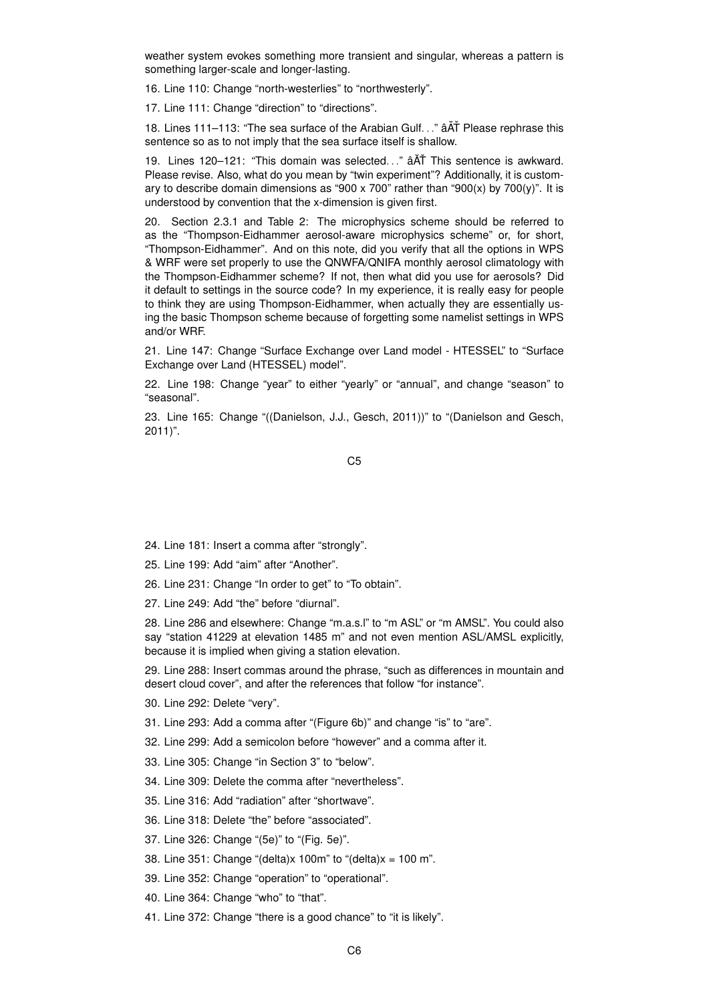weather system evokes something more transient and singular, whereas a pattern is something larger-scale and longer-lasting.

16. Line 110: Change "north-westerlies" to "northwesterly".

17. Line 111: Change "direction" to "directions".

18. Lines 111–113: "The sea surface of the Arabian Gulf. . ."  $\hat{a} \tilde{A} \tilde{A}$  Please rephrase this sentence so as to not imply that the sea surface itself is shallow.

19. Lines 120–121: "This domain was selected. .." âAT This sentence is awkward. Please revise. Also, what do you mean by "twin experiment"? Additionally, it is customary to describe domain dimensions as "900 x 700" rather than "900(x) by 700(y)". It is understood by convention that the x-dimension is given first.

20. Section 2.3.1 and Table 2: The microphysics scheme should be referred to as the "Thompson-Eidhammer aerosol-aware microphysics scheme" or, for short, "Thompson-Eidhammer". And on this note, did you verify that all the options in WPS & WRF were set properly to use the QNWFA/QNIFA monthly aerosol climatology with the Thompson-Eidhammer scheme? If not, then what did you use for aerosols? Did it default to settings in the source code? In my experience, it is really easy for people to think they are using Thompson-Eidhammer, when actually they are essentially using the basic Thompson scheme because of forgetting some namelist settings in WPS and/or WRF.

21. Line 147: Change "Surface Exchange over Land model - HTESSEL" to "Surface Exchange over Land (HTESSEL) model".

22. Line 198: Change "year" to either "yearly" or "annual", and change "season" to "seasonal".

23. Line 165: Change "((Danielson, J.J., Gesch, 2011))" to "(Danielson and Gesch, 2011)".

C5

- 24. Line 181: Insert a comma after "strongly".
- 25. Line 199: Add "aim" after "Another".
- 26. Line 231: Change "In order to get" to "To obtain".
- 27. Line 249: Add "the" before "diurnal".

28. Line 286 and elsewhere: Change "m.a.s.l" to "m ASL" or "m AMSL". You could also say "station 41229 at elevation 1485 m" and not even mention ASL/AMSL explicitly, because it is implied when giving a station elevation.

29. Line 288: Insert commas around the phrase, "such as differences in mountain and desert cloud cover", and after the references that follow "for instance".

- 30. Line 292: Delete "very".
- 31. Line 293: Add a comma after "(Figure 6b)" and change "is" to "are".
- 32. Line 299: Add a semicolon before "however" and a comma after it.
- 33. Line 305: Change "in Section 3" to "below".
- 34. Line 309: Delete the comma after "nevertheless".
- 35. Line 316: Add "radiation" after "shortwave".
- 36. Line 318: Delete "the" before "associated".
- 37. Line 326: Change "(5e)" to "(Fig. 5e)".
- 38. Line 351: Change "(delta)x 100m" to "(delta)x = 100 m".
- 39. Line 352: Change "operation" to "operational".
- 40. Line 364: Change "who" to "that".
- 41. Line 372: Change "there is a good chance" to "it is likely".